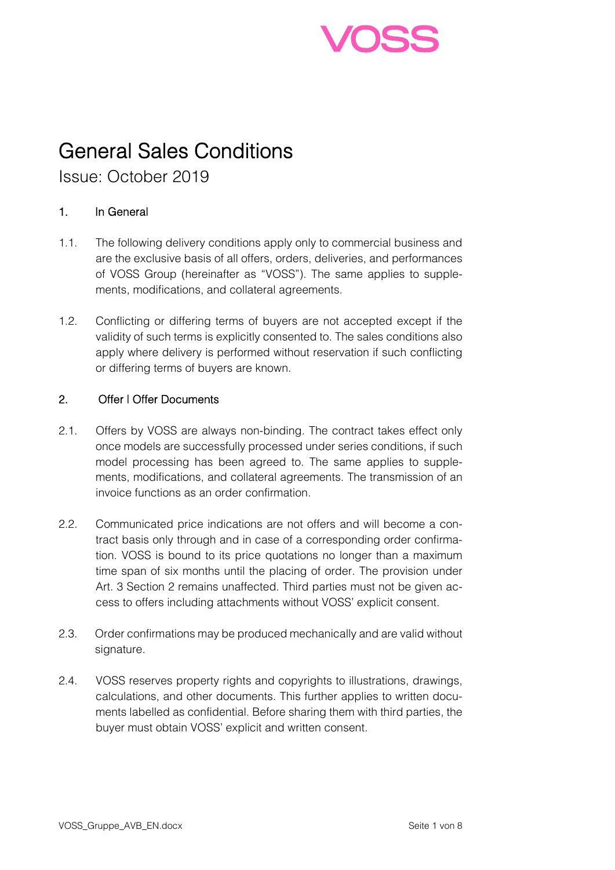

# General Sales Conditions

Issue: October 2019

## 1. In General

- 1.1. The following delivery conditions apply only to commercial business and are the exclusive basis of all offers, orders, deliveries, and performances of VOSS Group (hereinafter as "VOSS"). The same applies to supplements, modifications, and collateral agreements.
- 1.2. Conflicting or differing terms of buyers are not accepted except if the validity of such terms is explicitly consented to. The sales conditions also apply where delivery is performed without reservation if such conflicting or differing terms of buyers are known.

### 2. Offer | Offer Documents

- 2.1. Offers by VOSS are always non-binding. The contract takes effect only once models are successfully processed under series conditions, if such model processing has been agreed to. The same applies to supplements, modifications, and collateral agreements. The transmission of an invoice functions as an order confirmation.
- 2.2. Communicated price indications are not offers and will become a contract basis only through and in case of a corresponding order confirmation. VOSS is bound to its price quotations no longer than a maximum time span of six months until the placing of order. The provision under Art. 3 Section 2 remains unaffected. Third parties must not be given access to offers including attachments without VOSS' explicit consent.
- 2.3. Order confirmations may be produced mechanically and are valid without signature.
- 2.4. VOSS reserves property rights and copyrights to illustrations, drawings, calculations, and other documents. This further applies to written documents labelled as confidential. Before sharing them with third parties, the buyer must obtain VOSS' explicit and written consent.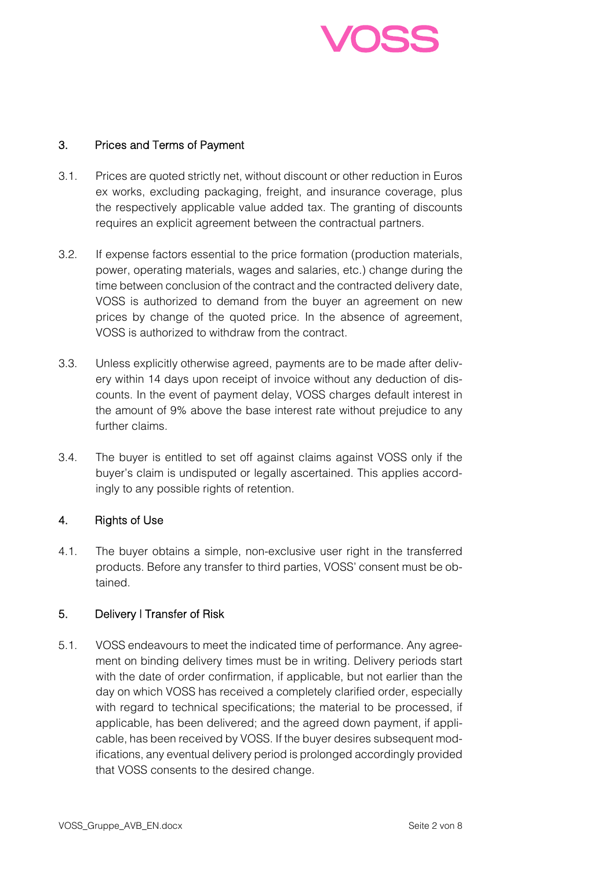

### 3. Prices and Terms of Payment

- 3.1. Prices are quoted strictly net, without discount or other reduction in Euros ex works, excluding packaging, freight, and insurance coverage, plus the respectively applicable value added tax. The granting of discounts requires an explicit agreement between the contractual partners.
- 3.2. If expense factors essential to the price formation (production materials, power, operating materials, wages and salaries, etc.) change during the time between conclusion of the contract and the contracted delivery date, VOSS is authorized to demand from the buyer an agreement on new prices by change of the quoted price. In the absence of agreement, VOSS is authorized to withdraw from the contract.
- 3.3. Unless explicitly otherwise agreed, payments are to be made after delivery within 14 days upon receipt of invoice without any deduction of discounts. In the event of payment delay, VOSS charges default interest in the amount of 9% above the base interest rate without prejudice to any further claims.
- 3.4. The buyer is entitled to set off against claims against VOSS only if the buyer's claim is undisputed or legally ascertained. This applies accordingly to any possible rights of retention.

### 4. Rights of Use

4.1. The buyer obtains a simple, non-exclusive user right in the transferred products. Before any transfer to third parties, VOSS' consent must be obtained.

### 5. Delivery | Transfer of Risk

5.1. VOSS endeavours to meet the indicated time of performance. Any agreement on binding delivery times must be in writing. Delivery periods start with the date of order confirmation, if applicable, but not earlier than the day on which VOSS has received a completely clarified order, especially with regard to technical specifications; the material to be processed, if applicable, has been delivered; and the agreed down payment, if applicable, has been received by VOSS. If the buyer desires subsequent modifications, any eventual delivery period is prolonged accordingly provided that VOSS consents to the desired change.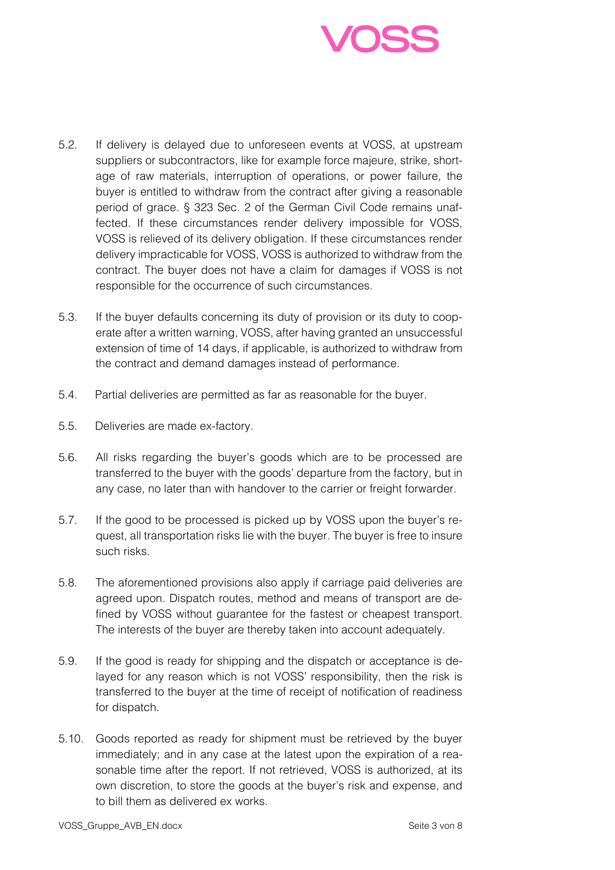

- 5.2. If delivery is delayed due to unforeseen events at VOSS, at upstream suppliers or subcontractors, like for example force majeure, strike, shortage of raw materials, interruption of operations, or power failure, the buyer is entitled to withdraw from the contract after giving a reasonable period of grace. § 323 Sec. 2 of the German Civil Code remains unaffected. If these circumstances render delivery impossible for VOSS, VOSS is relieved of its delivery obligation. If these circumstances render delivery impracticable for VOSS, VOSS is authorized to withdraw from the contract. The buyer does not have a claim for damages if VOSS is not responsible for the occurrence of such circumstances.
- 5.3. If the buyer defaults concerning its duty of provision or its duty to cooperate after a written warning, VOSS, after having granted an unsuccessful extension of time of 14 days, if applicable, is authorized to withdraw from the contract and demand damages instead of performance.
- 5.4. Partial deliveries are permitted as far as reasonable for the buyer.
- 5.5. Deliveries are made ex-factory.
- 5.6. All risks regarding the buyer's goods which are to be processed are transferred to the buyer with the goods' departure from the factory, but in any case, no later than with handover to the carrier or freight forwarder.
- 5.7. If the good to be processed is picked up by VOSS upon the buyer's request, all transportation risks lie with the buyer. The buyer is free to insure such risks.
- 5.8. The aforementioned provisions also apply if carriage paid deliveries are agreed upon. Dispatch routes, method and means of transport are defined by VOSS without guarantee for the fastest or cheapest transport. The interests of the buyer are thereby taken into account adequately.
- 5.9. If the good is ready for shipping and the dispatch or acceptance is delayed for any reason which is not VOSS' responsibility, then the risk is transferred to the buyer at the time of receipt of notification of readiness for dispatch.
- 5.10. Goods reported as ready for shipment must be retrieved by the buyer immediately; and in any case at the latest upon the expiration of a reasonable time after the report. If not retrieved, VOSS is authorized, at its own discretion, to store the goods at the buyer's risk and expense, and to bill them as delivered ex works.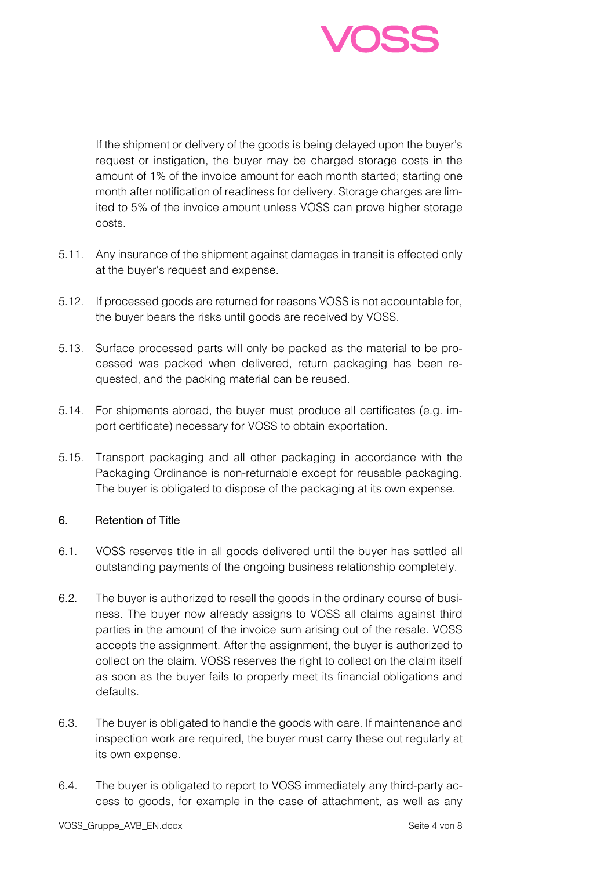

If the shipment or delivery of the goods is being delayed upon the buyer's request or instigation, the buyer may be charged storage costs in the amount of 1% of the invoice amount for each month started; starting one month after notification of readiness for delivery. Storage charges are limited to 5% of the invoice amount unless VOSS can prove higher storage costs.

- 5.11. Any insurance of the shipment against damages in transit is effected only at the buyer's request and expense.
- 5.12. If processed goods are returned for reasons VOSS is not accountable for, the buyer bears the risks until goods are received by VOSS.
- 5.13. Surface processed parts will only be packed as the material to be processed was packed when delivered, return packaging has been requested, and the packing material can be reused.
- 5.14. For shipments abroad, the buyer must produce all certificates (e.g. import certificate) necessary for VOSS to obtain exportation.
- 5.15. Transport packaging and all other packaging in accordance with the Packaging Ordinance is non-returnable except for reusable packaging. The buyer is obligated to dispose of the packaging at its own expense.

### 6. Retention of Title

- 6.1. VOSS reserves title in all goods delivered until the buyer has settled all outstanding payments of the ongoing business relationship completely.
- 6.2. The buyer is authorized to resell the goods in the ordinary course of business. The buyer now already assigns to VOSS all claims against third parties in the amount of the invoice sum arising out of the resale. VOSS accepts the assignment. After the assignment, the buyer is authorized to collect on the claim. VOSS reserves the right to collect on the claim itself as soon as the buyer fails to properly meet its financial obligations and defaults.
- 6.3. The buyer is obligated to handle the goods with care. If maintenance and inspection work are required, the buyer must carry these out regularly at its own expense.
- 6.4. The buyer is obligated to report to VOSS immediately any third-party access to goods, for example in the case of attachment, as well as any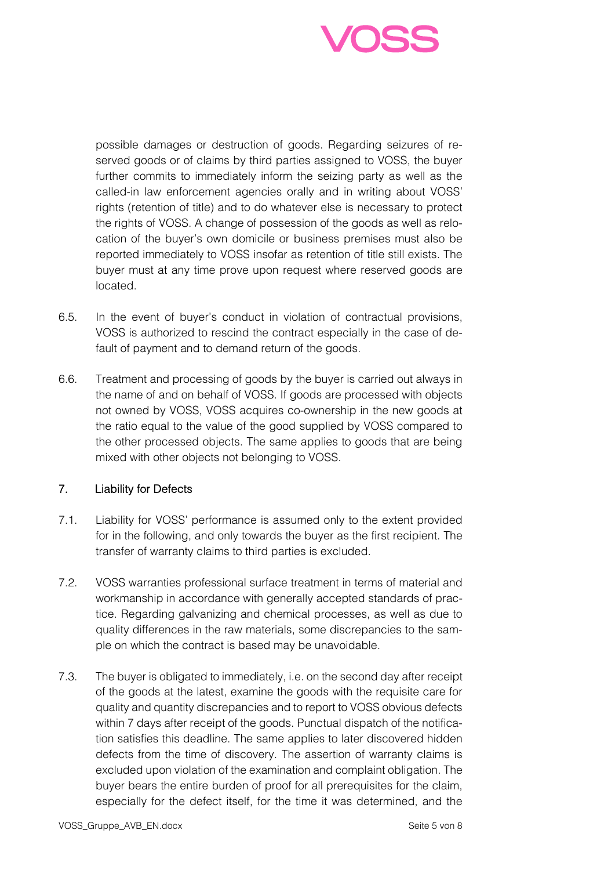

possible damages or destruction of goods. Regarding seizures of reserved goods or of claims by third parties assigned to VOSS, the buyer further commits to immediately inform the seizing party as well as the called-in law enforcement agencies orally and in writing about VOSS' rights (retention of title) and to do whatever else is necessary to protect the rights of VOSS. A change of possession of the goods as well as relocation of the buyer's own domicile or business premises must also be reported immediately to VOSS insofar as retention of title still exists. The buyer must at any time prove upon request where reserved goods are located.

- 6.5. In the event of buyer's conduct in violation of contractual provisions, VOSS is authorized to rescind the contract especially in the case of default of payment and to demand return of the goods.
- 6.6. Treatment and processing of goods by the buyer is carried out always in the name of and on behalf of VOSS. If goods are processed with objects not owned by VOSS, VOSS acquires co-ownership in the new goods at the ratio equal to the value of the good supplied by VOSS compared to the other processed objects. The same applies to goods that are being mixed with other objects not belonging to VOSS.

### 7. Liability for Defects

- 7.1. Liability for VOSS' performance is assumed only to the extent provided for in the following, and only towards the buyer as the first recipient. The transfer of warranty claims to third parties is excluded.
- 7.2. VOSS warranties professional surface treatment in terms of material and workmanship in accordance with generally accepted standards of practice. Regarding galvanizing and chemical processes, as well as due to quality differences in the raw materials, some discrepancies to the sample on which the contract is based may be unavoidable.
- 7.3. The buyer is obligated to immediately, i.e. on the second day after receipt of the goods at the latest, examine the goods with the requisite care for quality and quantity discrepancies and to report to VOSS obvious defects within 7 days after receipt of the goods. Punctual dispatch of the notification satisfies this deadline. The same applies to later discovered hidden defects from the time of discovery. The assertion of warranty claims is excluded upon violation of the examination and complaint obligation. The buyer bears the entire burden of proof for all prerequisites for the claim, especially for the defect itself, for the time it was determined, and the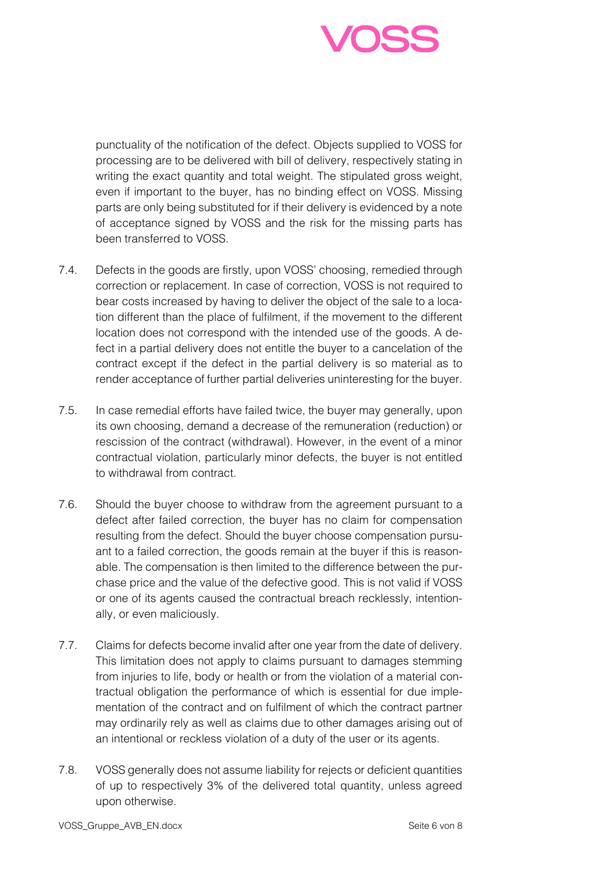

punctuality of the notification of the defect. Objects supplied to VOSS for processing are to be delivered with bill of delivery, respectively stating in writing the exact quantity and total weight. The stipulated gross weight, even if important to the buyer, has no binding effect on VOSS. Missing parts are only being substituted for if their delivery is evidenced by a note of acceptance signed by VOSS and the risk for the missing parts has been transferred to VOSS.

- 7.4. Defects in the goods are firstly, upon VOSS' choosing, remedied through correction or replacement. In case of correction, VOSS is not required to bear costs increased by having to deliver the object of the sale to a location different than the place of fulfilment, if the movement to the different location does not correspond with the intended use of the goods. A defect in a partial delivery does not entitle the buyer to a cancelation of the contract except if the defect in the partial delivery is so material as to render acceptance of further partial deliveries uninteresting for the buyer.
- 7.5. In case remedial efforts have failed twice, the buyer may generally, upon its own choosing, demand a decrease of the remuneration (reduction) or rescission of the contract (withdrawal). However, in the event of a minor contractual violation, particularly minor defects, the buyer is not entitled to withdrawal from contract.
- 7.6. Should the buyer choose to withdraw from the agreement pursuant to a defect after failed correction, the buyer has no claim for compensation resulting from the defect. Should the buyer choose compensation pursuant to a failed correction, the goods remain at the buyer if this is reasonable. The compensation is then limited to the difference between the purchase price and the value of the defective good. This is not valid if VOSS or one of its agents caused the contractual breach recklessly, intentionally, or even maliciously.
- 7.7. Claims for defects become invalid after one year from the date of delivery. This limitation does not apply to claims pursuant to damages stemming from injuries to life, body or health or from the violation of a material contractual obligation the performance of which is essential for due implementation of the contract and on fulfilment of which the contract partner may ordinarily rely as well as claims due to other damages arising out of an intentional or reckless violation of a duty of the user or its agents.
- 7.8. VOSS generally does not assume liability for rejects or deficient quantities of up to respectively 3% of the delivered total quantity, unless agreed upon otherwise.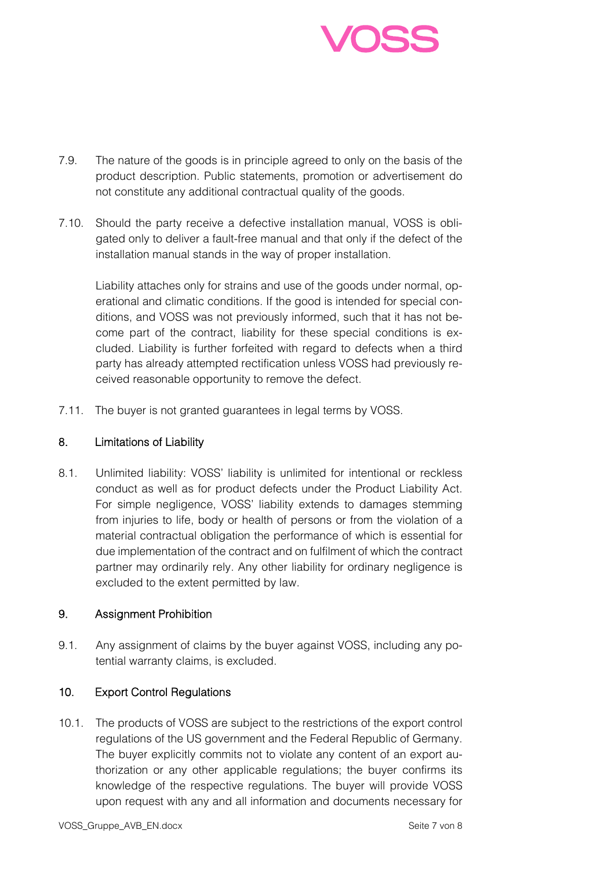

- 7.9. The nature of the goods is in principle agreed to only on the basis of the product description. Public statements, promotion or advertisement do not constitute any additional contractual quality of the goods.
- 7.10. Should the party receive a defective installation manual, VOSS is obligated only to deliver a fault-free manual and that only if the defect of the installation manual stands in the way of proper installation.

Liability attaches only for strains and use of the goods under normal, operational and climatic conditions. If the good is intended for special conditions, and VOSS was not previously informed, such that it has not become part of the contract, liability for these special conditions is excluded. Liability is further forfeited with regard to defects when a third party has already attempted rectification unless VOSS had previously received reasonable opportunity to remove the defect.

7.11. The buyer is not granted guarantees in legal terms by VOSS.

#### 8. Limitations of Liability

8.1. Unlimited liability: VOSS' liability is unlimited for intentional or reckless conduct as well as for product defects under the Product Liability Act. For simple negligence, VOSS' liability extends to damages stemming from injuries to life, body or health of persons or from the violation of a material contractual obligation the performance of which is essential for due implementation of the contract and on fulfilment of which the contract partner may ordinarily rely. Any other liability for ordinary negligence is excluded to the extent permitted by law.

### 9. Assignment Prohibition

9.1. Any assignment of claims by the buyer against VOSS, including any potential warranty claims, is excluded.

### 10. Export Control Regulations

10.1. The products of VOSS are subject to the restrictions of the export control regulations of the US government and the Federal Republic of Germany. The buyer explicitly commits not to violate any content of an export authorization or any other applicable regulations; the buyer confirms its knowledge of the respective regulations. The buyer will provide VOSS upon request with any and all information and documents necessary for